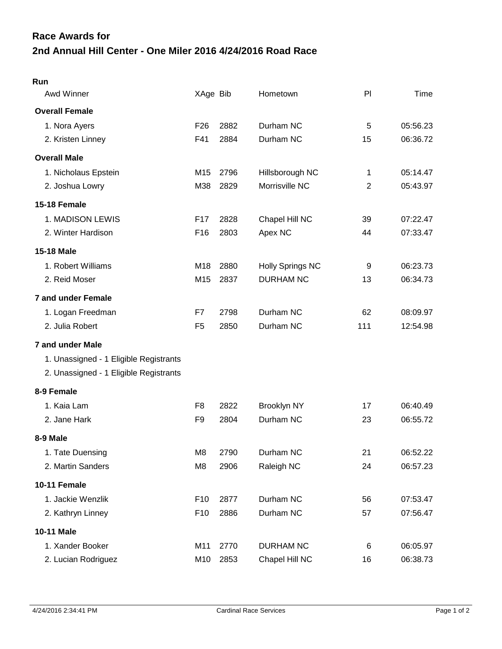## **2nd Annual Hill Center - One Miler 2016 4/24/2016 Road Race Race Awards for**

| Run                                    |                 |      |                         |                |          |
|----------------------------------------|-----------------|------|-------------------------|----------------|----------|
| Awd Winner                             | XAge Bib        |      | Hometown                | PI             | Time     |
| <b>Overall Female</b>                  |                 |      |                         |                |          |
| 1. Nora Ayers                          | F <sub>26</sub> | 2882 | Durham NC               | 5              | 05:56.23 |
| 2. Kristen Linney                      | F41             | 2884 | Durham NC               | 15             | 06:36.72 |
| <b>Overall Male</b>                    |                 |      |                         |                |          |
| 1. Nicholaus Epstein                   | M15             | 2796 | Hillsborough NC         | 1              | 05:14.47 |
| 2. Joshua Lowry                        | M38             | 2829 | Morrisville NC          | $\overline{c}$ | 05:43.97 |
| 15-18 Female                           |                 |      |                         |                |          |
| 1. MADISON LEWIS                       | F <sub>17</sub> | 2828 | Chapel Hill NC          | 39             | 07:22.47 |
| 2. Winter Hardison                     | F <sub>16</sub> | 2803 | Apex NC                 | 44             | 07:33.47 |
| <b>15-18 Male</b>                      |                 |      |                         |                |          |
| 1. Robert Williams                     | M18             | 2880 | <b>Holly Springs NC</b> | 9              | 06:23.73 |
| 2. Reid Moser                          | M <sub>15</sub> | 2837 | <b>DURHAM NC</b>        | 13             | 06:34.73 |
| <b>7 and under Female</b>              |                 |      |                         |                |          |
| 1. Logan Freedman                      | F7              | 2798 | Durham NC               | 62             | 08:09.97 |
| 2. Julia Robert                        | F <sub>5</sub>  | 2850 | Durham NC               | 111            | 12:54.98 |
| 7 and under Male                       |                 |      |                         |                |          |
| 1. Unassigned - 1 Eligible Registrants |                 |      |                         |                |          |
| 2. Unassigned - 1 Eligible Registrants |                 |      |                         |                |          |
| 8-9 Female                             |                 |      |                         |                |          |
| 1. Kaia Lam                            | F8              | 2822 | <b>Brooklyn NY</b>      | 17             | 06:40.49 |
| 2. Jane Hark                           | F <sub>9</sub>  | 2804 | Durham NC               | 23             | 06:55.72 |
| 8-9 Male                               |                 |      |                         |                |          |
| 1. Tate Duensing                       | M8              | 2790 | Durham NC               | 21             | 06:52.22 |
| 2. Martin Sanders                      | M <sub>8</sub>  | 2906 | Raleigh NC              | 24             | 06:57.23 |
| <b>10-11 Female</b>                    |                 |      |                         |                |          |
| 1. Jackie Wenzlik                      | F <sub>10</sub> | 2877 | Durham NC               | 56             | 07:53.47 |
| 2. Kathryn Linney                      | F <sub>10</sub> | 2886 | Durham NC               | 57             | 07:56.47 |
| 10-11 Male                             |                 |      |                         |                |          |
| 1. Xander Booker                       | M11             | 2770 | <b>DURHAM NC</b>        | 6              | 06:05.97 |
| 2. Lucian Rodriguez                    | M10             | 2853 | Chapel Hill NC          | 16             | 06:38.73 |